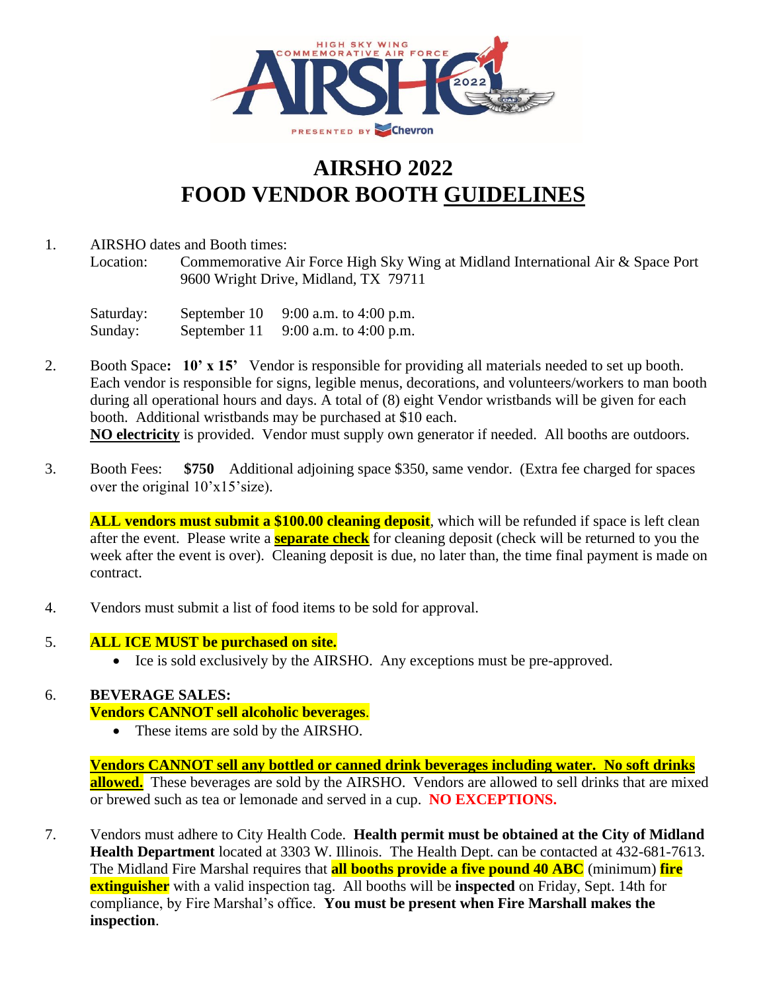

## **AIRSHO 2022 FOOD VENDOR BOOTH GUIDELINES**

## 1. AIRSHO dates and Booth times:

Location: Commemorative Air Force High Sky Wing at Midland International Air & Space Port 9600 Wright Drive, Midland, TX 79711

Saturday: September 10 9:00 a.m. to 4:00 p.m. Sunday: September 11 9:00 a.m. to 4:00 p.m.

2. Booth Space**: 10' x 15'** Vendor is responsible for providing all materials needed to set up booth. Each vendor is responsible for signs, legible menus, decorations, and volunteers/workers to man booth during all operational hours and days. A total of (8) eight Vendor wristbands will be given for each booth. Additional wristbands may be purchased at \$10 each. **NO electricity** is provided. Vendor must supply own generator if needed. All booths are outdoors.

3. Booth Fees: **\$750** Additional adjoining space \$350, same vendor. (Extra fee charged for spaces over the original  $10'x15'size$ ).

**ALL vendors must submit a \$100.00 cleaning deposit**, which will be refunded if space is left clean after the event. Please write a **separate check** for cleaning deposit (check will be returned to you the week after the event is over). Cleaning deposit is due, no later than, the time final payment is made on contract.

- 4. Vendors must submit a list of food items to be sold for approval.
- 5. **ALL ICE MUST be purchased on site.**
	- Ice is sold exclusively by the AIRSHO. Any exceptions must be pre-approved.

## 6. **BEVERAGE SALES:**

**Vendors CANNOT sell alcoholic beverages**.

• These items are sold by the AIRSHO.

**Vendors CANNOT sell any bottled or canned drink beverages including water. No soft drinks allowed.** These beverages are sold by the AIRSHO. Vendors are allowed to sell drinks that are mixed or brewed such as tea or lemonade and served in a cup. **NO EXCEPTIONS.**

7. Vendors must adhere to City Health Code. **Health permit must be obtained at the City of Midland Health Department** located at 3303 W. Illinois. The Health Dept. can be contacted at 432-681-7613. The Midland Fire Marshal requires that **all booths provide a five pound 40 ABC** (minimum) **fire extinguisher** with a valid inspection tag. All booths will be **inspected** on Friday, Sept. 14th for compliance, by Fire Marshal's office. **You must be present when Fire Marshall makes the inspection**.